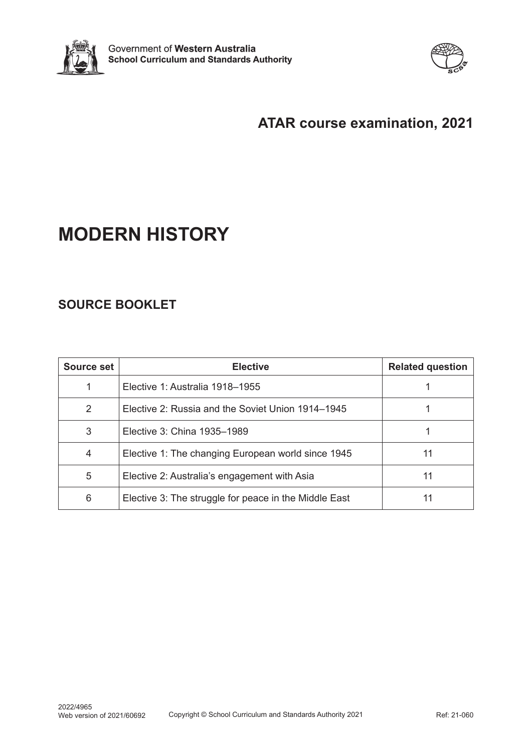



# **ATAR course examination, 2021**

# **MODERN HISTORY**

## **SOURCE BOOKLET**

| Source set    | <b>Elective</b>                                       | <b>Related question</b> |
|---------------|-------------------------------------------------------|-------------------------|
|               | Elective 1: Australia 1918–1955                       |                         |
| $\mathcal{P}$ | Elective 2: Russia and the Soviet Union 1914–1945     |                         |
| 3             | Elective 3: China 1935–1989                           |                         |
| 4             | Elective 1: The changing European world since 1945    | 11                      |
| 5             | Elective 2: Australia's engagement with Asia          | 11                      |
| 6             | Elective 3: The struggle for peace in the Middle East | 11                      |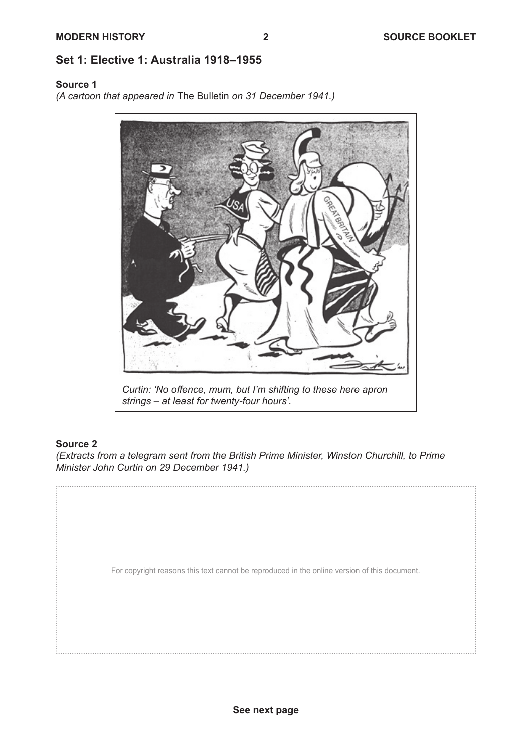## **Set 1: Elective 1: Australia 1918–1955**

## **Source 1**

*(A cartoon that appeared in* The Bulletin *on 31 December 1941.)*



*Curtin: 'No offence, mum, but I'm shifting to these here apron strings – at least for twenty-four hours'.*

#### **Source 2**

*(Extracts from a telegram sent from the British Prime Minister, Winston Churchill, to Prime Minister John Curtin on 29 December 1941.)*

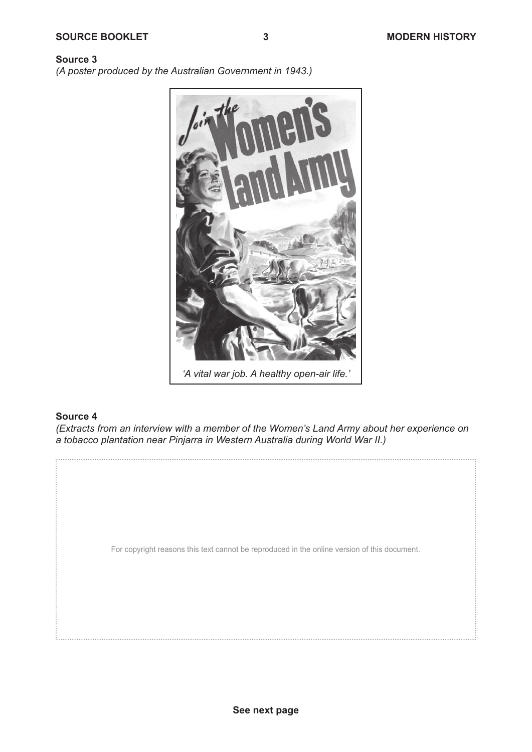



*(Extracts from an interview with a member of the Women's Land Army about her experience on a tobacco plantation near Pinjarra in Western Australia during World War II.)*

For copyright reasons this text cannot be reproduced in the online version of this document.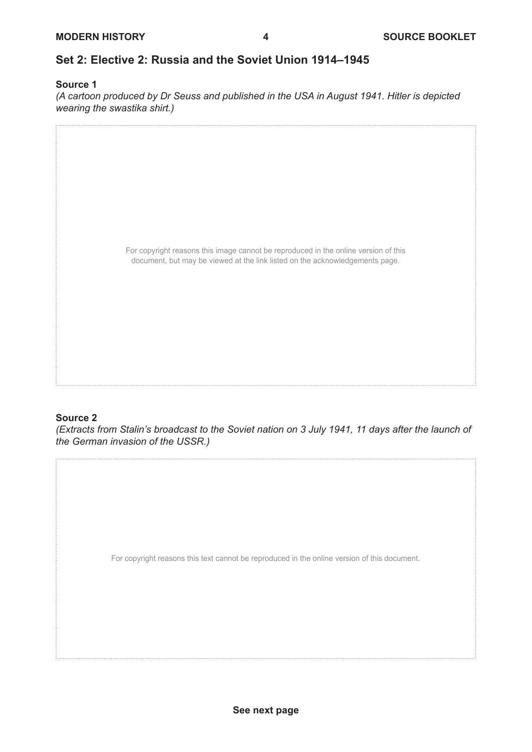### **Set 2: Elective 2: Russia and the Soviet Union 1914–1945**

#### **Source 1**

*(A cartoon produced by Dr Seuss and published in the USA in August 1941. Hitler is depicted wearing the swastika shirt.)*



#### **Source 2**

*(Extracts from Stalin's broadcast to the Soviet nation on 3 July 1941, 11 days after the launch of the German invasion of the USSR.)*

For copyright reasons this text cannot be reproduced in the online version of this document.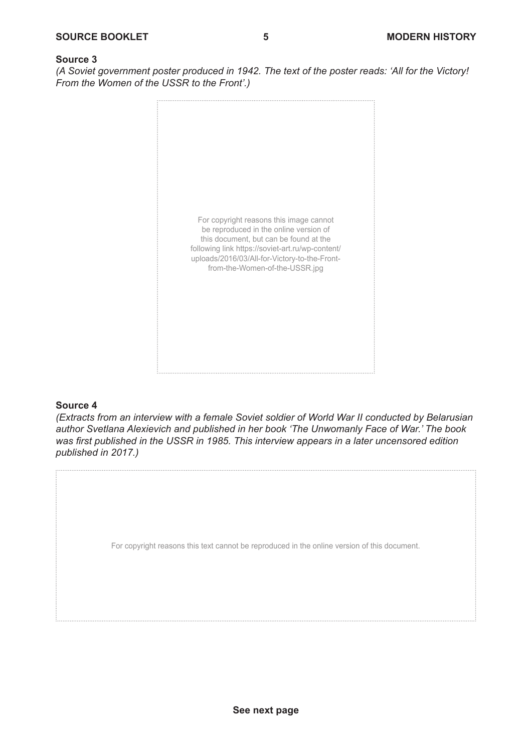*(A Soviet government poster produced in 1942. The text of the poster reads: 'All for the Victory! From the Women of the USSR to the Front'.)*



#### **Source 4**

*(Extracts from an interview with a female Soviet soldier of World War II conducted by Belarusian author Svetlana Alexievich and published in her book 'The Unwomanly Face of War.' The book was first published in the USSR in 1985. This interview appears in a later uncensored edition published in 2017.)*

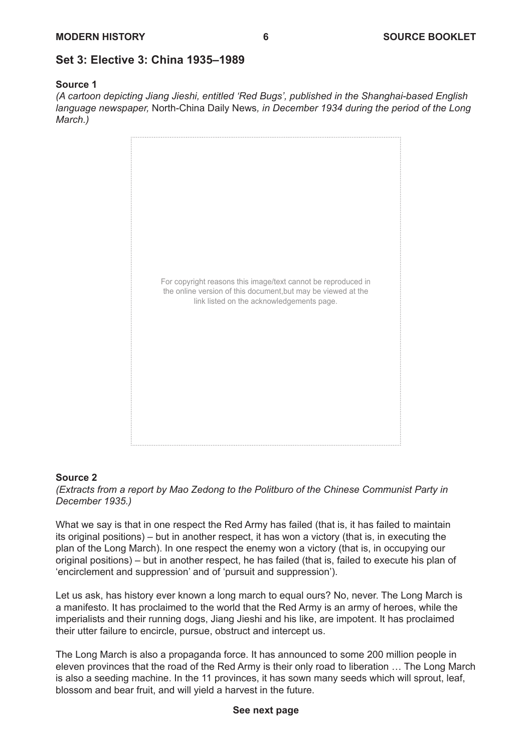## **Set 3: Elective 3: China 1935–1989**

#### **Source 1**

*(A cartoon depicting Jiang Jieshi, entitled 'Red Bugs', published in the Shanghai-based English language newspaper,* North-China Daily News*, in December 1934 during the period of the Long March.)*



#### **Source 2**

*(Extracts from a report by Mao Zedong to the Politburo of the Chinese Communist Party in December 1935.)*

What we say is that in one respect the Red Army has failed (that is, it has failed to maintain its original positions) – but in another respect, it has won a victory (that is, in executing the plan of the Long March). In one respect the enemy won a victory (that is, in occupying our original positions) – but in another respect, he has failed (that is, failed to execute his plan of 'encirclement and suppression' and of 'pursuit and suppression').

Let us ask, has history ever known a long march to equal ours? No, never. The Long March is a manifesto. It has proclaimed to the world that the Red Army is an army of heroes, while the imperialists and their running dogs, Jiang Jieshi and his like, are impotent. It has proclaimed their utter failure to encircle, pursue, obstruct and intercept us.

The Long March is also a propaganda force. It has announced to some 200 million people in eleven provinces that the road of the Red Army is their only road to liberation … The Long March is also a seeding machine. In the 11 provinces, it has sown many seeds which will sprout, leaf, blossom and bear fruit, and will yield a harvest in the future.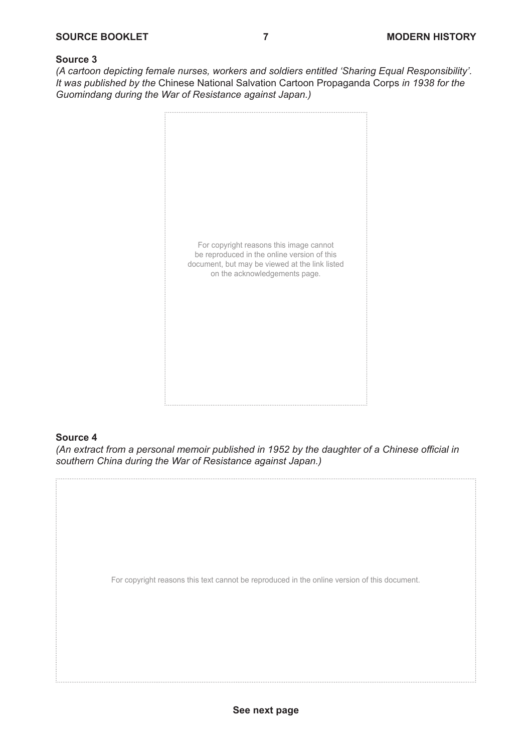*(A cartoon depicting female nurses, workers and soldiers entitled 'Sharing Equal Responsibility'. It was published by the* Chinese National Salvation Cartoon Propaganda Corps *in 1938 for the Guomindang during the War of Resistance against Japan.)* 



#### **Source 4**

*(An extract from a personal memoir published in 1952 by the daughter of a Chinese official in southern China during the War of Resistance against Japan.)*

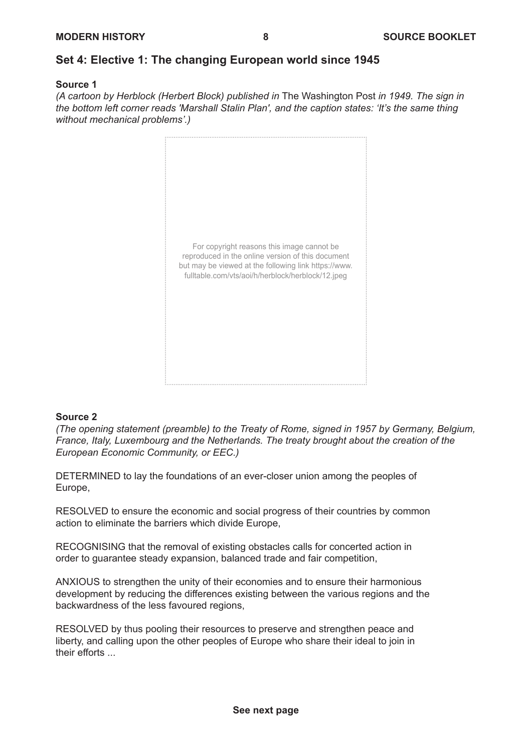## **Set 4: Elective 1: The changing European world since 1945**

#### **Source 1**

*(A cartoon by Herblock (Herbert Block) published in* The Washington Post *in 1949. The sign in the bottom left corner reads 'Marshall Stalin Plan', and the caption states: 'It's the same thing without mechanical problems'.)* 



#### **Source 2**

*(The opening statement (preamble) to the Treaty of Rome, signed in 1957 by Germany, Belgium, France, Italy, Luxembourg and the Netherlands. The treaty brought about the creation of the European Economic Community, or EEC.)*

DETERMINED to lay the foundations of an ever-closer union among the peoples of Europe,

RESOLVED to ensure the economic and social progress of their countries by common action to eliminate the barriers which divide Europe,

RECOGNISING that the removal of existing obstacles calls for concerted action in order to guarantee steady expansion, balanced trade and fair competition,

ANXIOUS to strengthen the unity of their economies and to ensure their harmonious development by reducing the differences existing between the various regions and the backwardness of the less favoured regions,

RESOLVED by thus pooling their resources to preserve and strengthen peace and liberty, and calling upon the other peoples of Europe who share their ideal to join in their efforts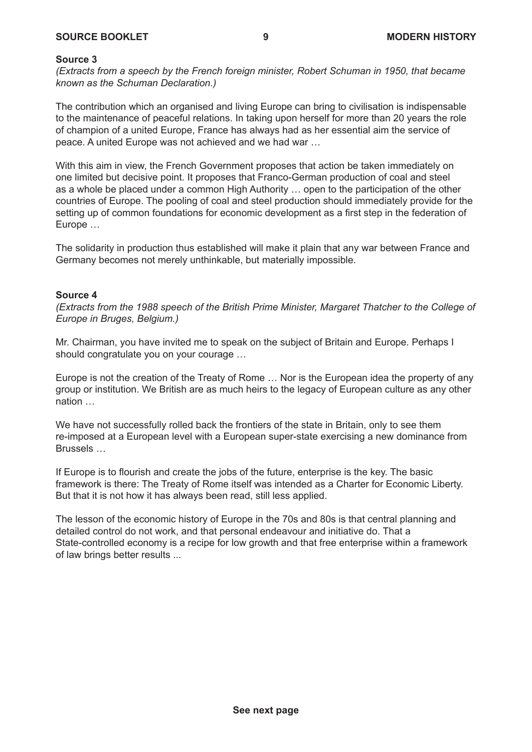#### **SOURCE BOOKLET 9 MODERN HISTORY**

#### **Source 3**

*(Extracts from a speech by the French foreign minister, Robert Schuman in 1950, that became known as the Schuman Declaration.)*

The contribution which an organised and living Europe can bring to civilisation is indispensable to the maintenance of peaceful relations. In taking upon herself for more than 20 years the role of champion of a united Europe, France has always had as her essential aim the service of peace. A united Europe was not achieved and we had war …

With this aim in view, the French Government proposes that action be taken immediately on one limited but decisive point. It proposes that Franco-German production of coal and steel as a whole be placed under a common High Authority … open to the participation of the other countries of Europe. The pooling of coal and steel production should immediately provide for the setting up of common foundations for economic development as a first step in the federation of Europe …

The solidarity in production thus established will make it plain that any war between France and Germany becomes not merely unthinkable, but materially impossible.

#### **Source 4**

*(Extracts from the 1988 speech of the British Prime Minister, Margaret Thatcher to the College of Europe in Bruges, Belgium.)*

Mr. Chairman, you have invited me to speak on the subject of Britain and Europe. Perhaps I should congratulate you on your courage …

Europe is not the creation of the Treaty of Rome … Nor is the European idea the property of any group or institution. We British are as much heirs to the legacy of European culture as any other nation …

We have not successfully rolled back the frontiers of the state in Britain, only to see them re-imposed at a European level with a European super-state exercising a new dominance from Brussels …

If Europe is to flourish and create the jobs of the future, enterprise is the key. The basic framework is there: The Treaty of Rome itself was intended as a Charter for Economic Liberty. But that it is not how it has always been read, still less applied.

The lesson of the economic history of Europe in the 70s and 80s is that central planning and detailed control do not work, and that personal endeavour and initiative do. That a State-controlled economy is a recipe for low growth and that free enterprise within a framework of law brings better results ...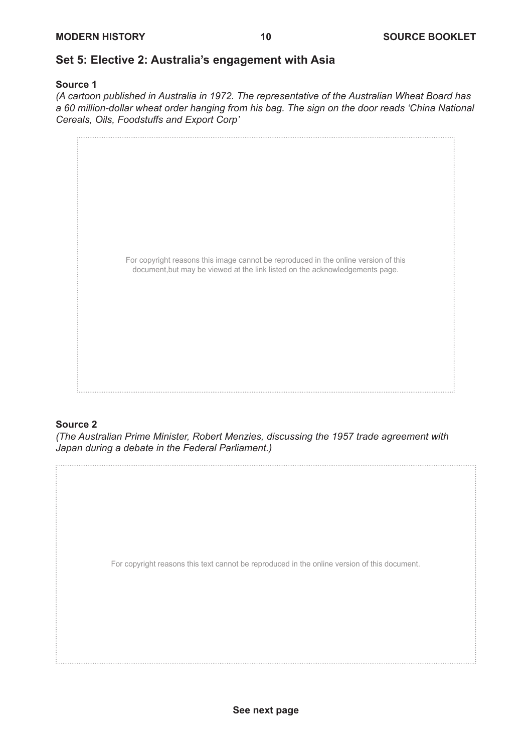## **Set 5: Elective 2: Australia's engagement with Asia**

#### **Source 1**

*(A cartoon published in Australia in 1972. The representative of the Australian Wheat Board has a 60 million-dollar wheat order hanging from his bag. The sign on the door reads 'China National Cereals, Oils, Foodstuffs and Export Corp'*



#### **Source 2**

*(The Australian Prime Minister, Robert Menzies, discussing the 1957 trade agreement with Japan during a debate in the Federal Parliament.)*

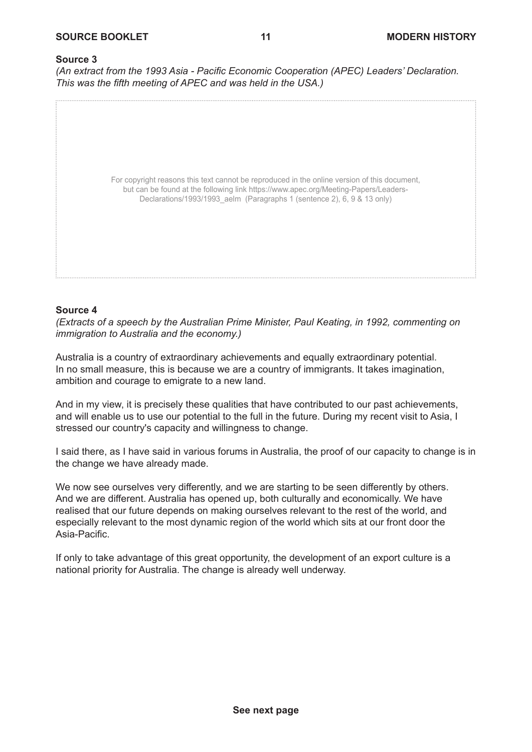*(An extract from the 1993 Asia - Pacific Economic Cooperation (APEC) Leaders' Declaration. This was the fifth meeting of APEC and was held in the USA.)*



#### **Source 4**

*(Extracts of a speech by the Australian Prime Minister, Paul Keating, in 1992, commenting on immigration to Australia and the economy.)*

Australia is a country of extraordinary achievements and equally extraordinary potential. In no small measure, this is because we are a country of immigrants. It takes imagination, ambition and courage to emigrate to a new land.

And in my view, it is precisely these qualities that have contributed to our past achievements, and will enable us to use our potential to the full in the future. During my recent visit to Asia, I stressed our country's capacity and willingness to change.

I said there, as I have said in various forums in Australia, the proof of our capacity to change is in the change we have already made.

We now see ourselves very differently, and we are starting to be seen differently by others. And we are different. Australia has opened up, both culturally and economically. We have realised that our future depends on making ourselves relevant to the rest of the world, and especially relevant to the most dynamic region of the world which sits at our front door the Asia-Pacific.

If only to take advantage of this great opportunity, the development of an export culture is a national priority for Australia. The change is already well underway.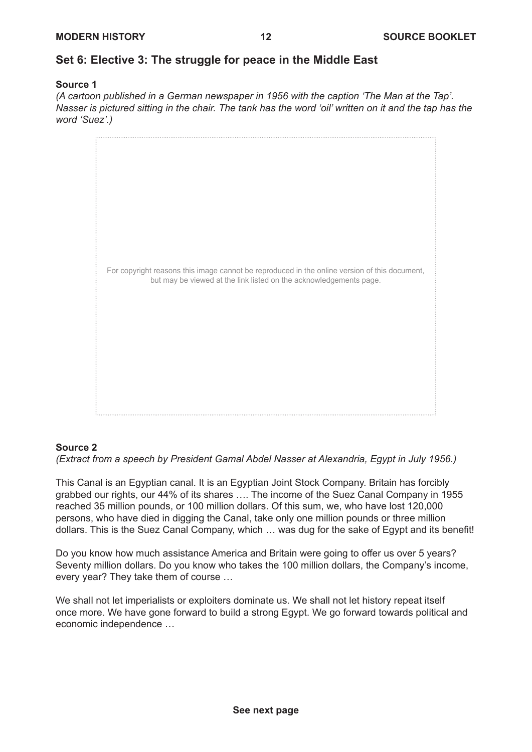## **Set 6: Elective 3: The struggle for peace in the Middle East**

#### **Source 1**

*(A cartoon published in a German newspaper in 1956 with the caption 'The Man at the Tap'. Nasser is pictured sitting in the chair. The tank has the word 'oil' written on it and the tap has the word 'Suez'.)*



#### **Source 2**

*(Extract from a speech by President Gamal Abdel Nasser at Alexandria, Egypt in July 1956.)*

This Canal is an Egyptian canal. It is an Egyptian Joint Stock Company. Britain has forcibly grabbed our rights, our 44% of its shares …. The income of the Suez Canal Company in 1955 reached 35 million pounds, or 100 million dollars. Of this sum, we, who have lost 120,000 persons, who have died in digging the Canal, take only one million pounds or three million dollars. This is the Suez Canal Company, which … was dug for the sake of Egypt and its benefit!

Do you know how much assistance America and Britain were going to offer us over 5 years? Seventy million dollars. Do you know who takes the 100 million dollars, the Company's income, every year? They take them of course …

We shall not let imperialists or exploiters dominate us. We shall not let history repeat itself once more. We have gone forward to build a strong Egypt. We go forward towards political and economic independence …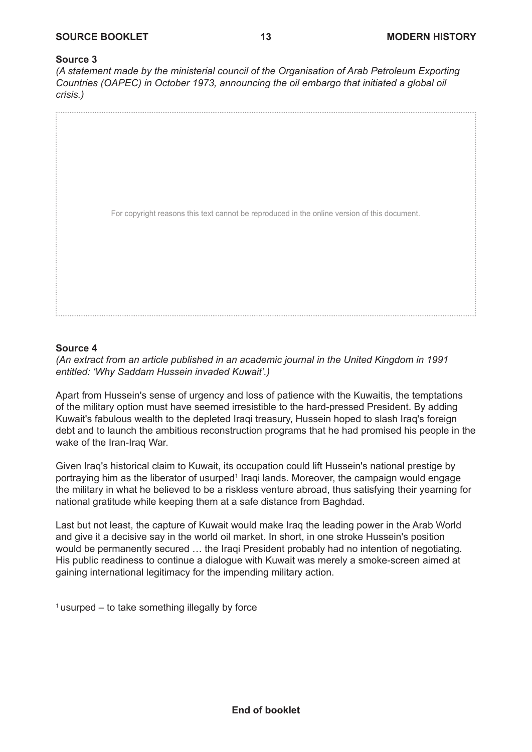*(A statement made by the ministerial council of the Organisation of Arab Petroleum Exporting Countries (OAPEC) in October 1973, announcing the oil embargo that initiated a global oil crisis.)*



#### **Source 4**

*(An extract from an article published in an academic journal in the United Kingdom in 1991 entitled: 'Why Saddam Hussein invaded Kuwait'.)*

Apart from Hussein's sense of urgency and loss of patience with the Kuwaitis, the temptations of the military option must have seemed irresistible to the hard-pressed President. By adding Kuwait's fabulous wealth to the depleted Iraqi treasury, Hussein hoped to slash Iraq's foreign debt and to launch the ambitious reconstruction programs that he had promised his people in the wake of the Iran-Iraq War.

Given Iraq's historical claim to Kuwait, its occupation could lift Hussein's national prestige by portraying him as the liberator of usurped<sup>1</sup> Iraqi lands. Moreover, the campaign would engage the military in what he believed to be a riskless venture abroad, thus satisfying their yearning for national gratitude while keeping them at a safe distance from Baghdad.

Last but not least, the capture of Kuwait would make Iraq the leading power in the Arab World and give it a decisive say in the world oil market. In short, in one stroke Hussein's position would be permanently secured … the Iraqi President probably had no intention of negotiating. His public readiness to continue a dialogue with Kuwait was merely a smoke-screen aimed at gaining international legitimacy for the impending military action.

 $1$  usurped – to take something illegally by force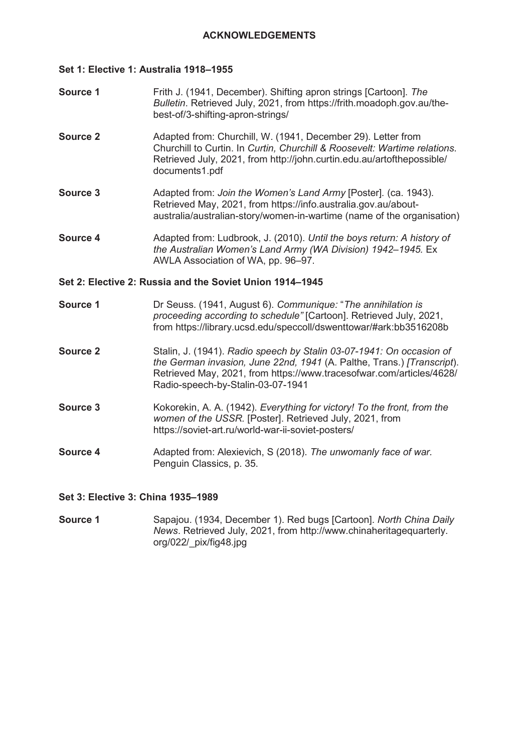#### **Set 1: Elective 1: Australia 1918–1955**

- **Source 1** Frith J. (1941, December). Shifting apron strings [Cartoon]. *The Bulletin*. Retrieved July, 2021, from https://frith.moadoph.gov.au/thebest-of/3-shifting-apron-strings/
- **Source 2** Adapted from: Churchill, W. (1941, December 29). Letter from Churchill to Curtin. In *Curtin, Churchill & Roosevelt: Wartime relations*. Retrieved July, 2021, from http://john.curtin.edu.au/artofthepossible/ documents1.pdf
- **Source 3** Adapted from: *Join the Women's Land Army* [Poster]*.* (ca. 1943). Retrieved May, 2021, from https://info.australia.gov.au/aboutaustralia/australian-story/women-in-wartime (name of the organisation)
- **Source 4** Adapted from: Ludbrook, J. (2010). *Until the boys return: A history of the Australian Women's Land Army (WA Division) 1942–1945.* Ex AWLA Association of WA, pp. 96–97.

#### **Set 2: Elective 2: Russia and the Soviet Union 1914–1945**

- **Source 1** Dr Seuss. (1941, August 6). *Communique:* "*The annihilation is proceeding according to schedule"* [Cartoon]. Retrieved July, 2021, from https://library.ucsd.edu/speccoll/dswenttowar/#ark:bb3516208b
- **Source 2** Stalin, J. (1941). *Radio speech by Stalin 03-07-1941: On occasion of the German invasion, June 22nd, 1941* (A. Palthe, Trans.) *[Transcript*). Retrieved May, 2021, from https://www.tracesofwar.com/articles/4628/ Radio-speech-by-Stalin-03-07-1941
- **Source 3** Kokorekin, A. A. (1942). *Everything for victory! To the front, from the women of the USSR.* [Poster]. Retrieved July, 2021, from https://soviet-art.ru/world-war-ii-soviet-posters/
- **Source 4** Adapted from: Alexievich, S (2018). *The unwomanly face of war.* Penguin Classics, p. 35.

#### **Set 3: Elective 3: China 1935–1989**

**Source 1** Sapajou. (1934, December 1). Red bugs [Cartoon]. *North China Daily News*. Retrieved July, 2021, from http://www.chinaheritagequarterly. org/022/\_pix/fig48.jpg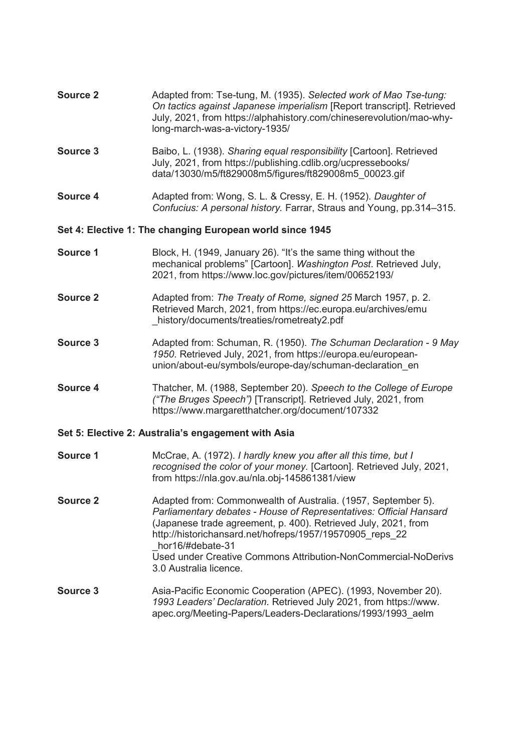| <b>Source 2</b> | Adapted from: Tse-tung, M. (1935). Selected work of Mao Tse-tung:                                                                              |
|-----------------|------------------------------------------------------------------------------------------------------------------------------------------------|
|                 | On tactics against Japanese imperialism [Report transcript]. Retrieved<br>July, 2021, from https://alphahistory.com/chineserevolution/mao-why- |
|                 | long-march-was-a-victory-1935/                                                                                                                 |

- **Source 3** Baibo, L. (1938). *Sharing equal responsibility* [Cartoon]. Retrieved July, 2021, from https://publishing.cdlib.org/ucpressebooks/ data/13030/m5/ft829008m5/figures/ft829008m5\_00023.gif
- **Source 4** Adapted from: Wong, S. L. & Cressy, E. H. (1952). *Daughter of Confucius: A personal history.* Farrar, Straus and Young, pp.314–315.

#### **Set 4: Elective 1: The changing European world since 1945**

- **Source 1** Block, H. (1949, January 26). "It's the same thing without the mechanical problems" [Cartoon]. *Washington Post*. Retrieved July, 2021, from https://www.loc.gov/pictures/item/00652193/
- **Source 2** Adapted from: *The Treaty of Rome, signed 25 March 1957, p. 2.* Retrieved March, 2021, from https://ec.europa.eu/archives/emu \_history/documents/treaties/rometreaty2.pdf
- **Source 3** Adapted from: Schuman, R. (1950). *The Schuman Declaration - 9 May 1950*. Retrieved July, 2021, from https://europa.eu/europeanunion/about-eu/symbols/europe-day/schuman-declaration\_en
- **Source 4** Thatcher, M. (1988, September 20). *Speech to the College of Europe ("The Bruges Speech")* [Transcript]. Retrieved July, 2021, from https://www.margaretthatcher.org/document/107332

#### **Set 5: Elective 2: Australia's engagement with Asia**

- **Source 1** McCrae, A. (1972). *I hardly knew you after all this time, but I recognised the color of your money.* [Cartoon]. Retrieved July, 2021, from https://nla.gov.au/nla.obj-145861381/view
- **Source 2** Adapted from: Commonwealth of Australia. (1957, September 5). *Parliamentary debates - House of Representatives: Official Hansard* (Japanese trade agreement, p. 400). Retrieved July, 2021, from http://historichansard.net/hofreps/1957/19570905\_reps\_22 hor16/#debate-31 Used under Creative Commons Attribution-NonCommercial-NoDerivs 3.0 Australia licence.
- **Source 3** Asia-Pacific Economic Cooperation (APEC). (1993, November 20). *1993 Leaders' Declaration*. Retrieved July 2021, from https://www. apec.org/Meeting-Papers/Leaders-Declarations/1993/1993\_aelm